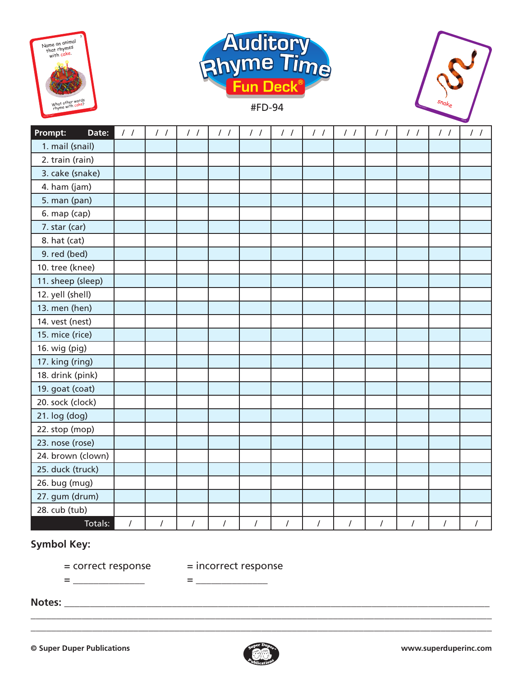





| Date:<br><b>Prompt:</b> | $\frac{1}{2}$ | $\frac{1}{2}$  | $\frac{1}{2}$  | $\frac{1}{2}$ | $\frac{1}{2}$  | $\frac{1}{2}$  | $\frac{1}{2}$  | $\frac{1}{2}$  | $\frac{1}{2}$  | $\frac{1}{2}$  | $\frac{1}{2}$  | $\frac{1}{2}$        |
|-------------------------|---------------|----------------|----------------|---------------|----------------|----------------|----------------|----------------|----------------|----------------|----------------|----------------------|
| 1. mail (snail)         |               |                |                |               |                |                |                |                |                |                |                |                      |
| 2. train (rain)         |               |                |                |               |                |                |                |                |                |                |                |                      |
| 3. cake (snake)         |               |                |                |               |                |                |                |                |                |                |                |                      |
| 4. ham (jam)            |               |                |                |               |                |                |                |                |                |                |                |                      |
| 5. man (pan)            |               |                |                |               |                |                |                |                |                |                |                |                      |
| 6. map (cap)            |               |                |                |               |                |                |                |                |                |                |                |                      |
| 7. star (car)           |               |                |                |               |                |                |                |                |                |                |                |                      |
| 8. hat (cat)            |               |                |                |               |                |                |                |                |                |                |                |                      |
| 9. red (bed)            |               |                |                |               |                |                |                |                |                |                |                |                      |
| 10. tree (knee)         |               |                |                |               |                |                |                |                |                |                |                |                      |
| 11. sheep (sleep)       |               |                |                |               |                |                |                |                |                |                |                |                      |
| 12. yell (shell)        |               |                |                |               |                |                |                |                |                |                |                |                      |
| 13. men (hen)           |               |                |                |               |                |                |                |                |                |                |                |                      |
| 14. vest (nest)         |               |                |                |               |                |                |                |                |                |                |                |                      |
| 15. mice (rice)         |               |                |                |               |                |                |                |                |                |                |                |                      |
| 16. wig (pig)           |               |                |                |               |                |                |                |                |                |                |                |                      |
| 17. king (ring)         |               |                |                |               |                |                |                |                |                |                |                |                      |
| 18. drink (pink)        |               |                |                |               |                |                |                |                |                |                |                |                      |
| 19. goat (coat)         |               |                |                |               |                |                |                |                |                |                |                |                      |
| 20. sock (clock)        |               |                |                |               |                |                |                |                |                |                |                |                      |
| 21. log (dog)           |               |                |                |               |                |                |                |                |                |                |                |                      |
| 22. stop (mop)          |               |                |                |               |                |                |                |                |                |                |                |                      |
| 23. nose (rose)         |               |                |                |               |                |                |                |                |                |                |                |                      |
| 24. brown (clown)       |               |                |                |               |                |                |                |                |                |                |                |                      |
| 25. duck (truck)        |               |                |                |               |                |                |                |                |                |                |                |                      |
| 26. bug (mug)           |               |                |                |               |                |                |                |                |                |                |                |                      |
| 27. gum (drum)          |               |                |                |               |                |                |                |                |                |                |                |                      |
| 28. cub (tub)           |               |                |                |               |                |                |                |                |                |                |                |                      |
| Totals:                 | $\prime$      | $\overline{I}$ | $\overline{I}$ | $\sqrt{ }$    | $\overline{I}$ | $\overline{I}$ | $\overline{I}$ | $\overline{I}$ | $\overline{I}$ | $\overline{I}$ | $\overline{1}$ | $\sqrt{\phantom{a}}$ |

## **Symbol Key:**

= correct response = incorrect response

= \_\_\_\_\_\_\_\_\_\_\_\_\_\_ = \_\_\_\_\_\_\_\_\_\_\_\_\_\_

**Notes:** \_\_\_\_\_\_\_\_\_\_\_\_\_\_\_\_\_\_\_\_\_\_\_\_\_\_\_\_\_\_\_\_\_\_\_\_\_\_\_\_\_\_\_\_\_\_\_\_\_\_\_\_\_\_\_\_\_\_\_\_\_\_\_\_\_\_\_\_\_\_\_\_\_\_\_\_\_\_\_\_\_\_\_



\_\_\_\_\_\_\_\_\_\_\_\_\_\_\_\_\_\_\_\_\_\_\_\_\_\_\_\_\_\_\_\_\_\_\_\_\_\_\_\_\_\_\_\_\_\_\_\_\_\_\_\_\_\_\_\_\_\_\_\_\_\_\_\_\_\_\_\_\_\_\_\_\_\_\_\_\_\_\_\_\_\_\_\_\_\_\_\_\_\_ \_\_\_\_\_\_\_\_\_\_\_\_\_\_\_\_\_\_\_\_\_\_\_\_\_\_\_\_\_\_\_\_\_\_\_\_\_\_\_\_\_\_\_\_\_\_\_\_\_\_\_\_\_\_\_\_\_\_\_\_\_\_\_\_\_\_\_\_\_\_\_\_\_\_\_\_\_\_\_\_\_\_\_\_\_\_\_\_\_\_